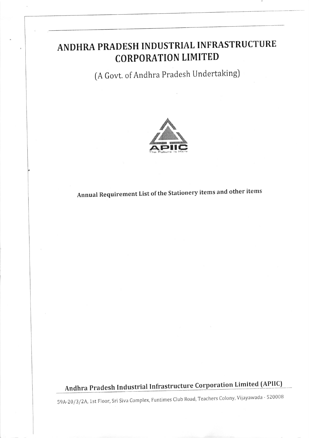# ANDHRA PRADESH INDUSTRIAL INFRASTRUCTURE **CORPORATION LIMITED**

(A Govt. of Andhra Pradesh Undertaking)



Annual Requirement List of the Stationery items and other items

Andhra Pradesh Industrial Infrastructure Corporation Limited (APIIC)

59A-20/3/2A, 1st Floor, Sri Siva Complex, Funtimes Club Road, Teachers Colony, Vijayawada - 520008